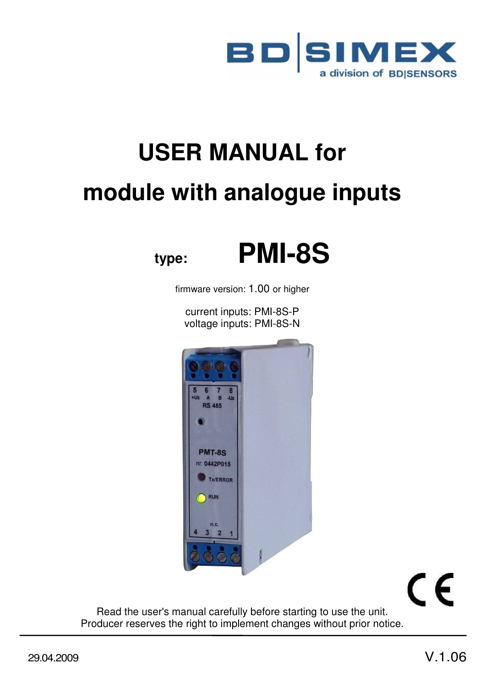

# **USER MANUAL for module with analogue inputs**

# **type: PMI-8S**

firmware version: 1.00 or higher

current inputs: PMI-8S-P voltage inputs: PMI-8S-N



# CE

Read the user's manual carefully before starting to use the unit. Producer reserves the right to implement changes without prior notice.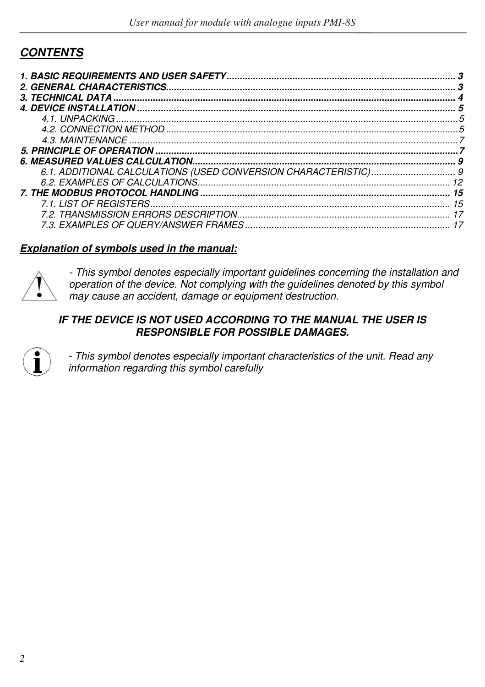# **CONTENTS**

| 5   |
|-----|
|     |
| 5   |
|     |
|     |
|     |
|     |
|     |
| 15  |
| 15  |
| -17 |
|     |

#### **Explanation of symbols used in the manual:**



- This symbol denotes especially important guidelines concerning the installation and operation of the device. Not complying with the guidelines denoted by this symbol may cause an accident, damage or equipment destruction.

#### **IF THE DEVICE IS NOT USED ACCORDING TO THE MANUAL THE USER IS RESPONSIBLE FOR POSSIBLE DAMAGES.**



- This symbol denotes especially important characteristics of the unit. Read any information regarding this symbol carefully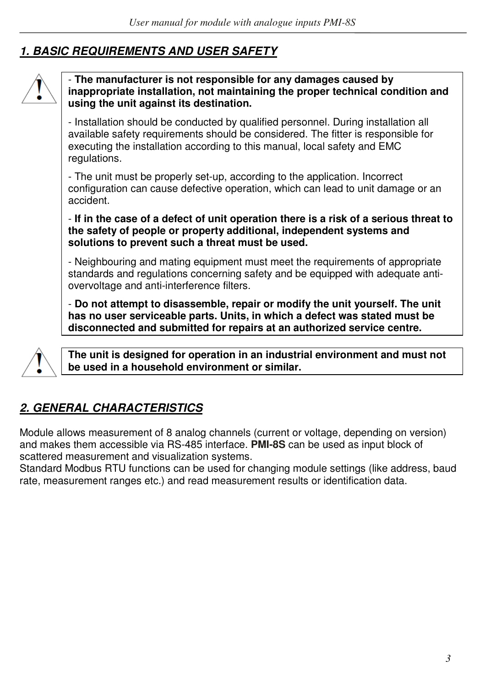# **1. BASIC REQUIREMENTS AND USER SAFETY**



#### - **The manufacturer is not responsible for any damages caused by inappropriate installation, not maintaining the proper technical condition and using the unit against its destination.**

- Installation should be conducted by qualified personnel. During installation all available safety requirements should be considered. The fitter is responsible for executing the installation according to this manual, local safety and EMC regulations.

- The unit must be properly set-up, according to the application. Incorrect configuration can cause defective operation, which can lead to unit damage or an accident.

- **If in the case of a defect of unit operation there is a risk of a serious threat to the safety of people or property additional, independent systems and solutions to prevent such a threat must be used.** 

- Neighbouring and mating equipment must meet the requirements of appropriate standards and regulations concerning safety and be equipped with adequate antiovervoltage and anti-interference filters.

- **Do not attempt to disassemble, repair or modify the unit yourself. The unit has no user serviceable parts. Units, in which a defect was stated must be disconnected and submitted for repairs at an authorized service centre.** 



**The unit is designed for operation in an industrial environment and must not be used in a household environment or similar.** 

# **2. GENERAL CHARACTERISTICS**

Module allows measurement of 8 analog channels (current or voltage, depending on version) and makes them accessible via RS-485 interface. **PMI-8S** can be used as input block of scattered measurement and visualization systems.

Standard Modbus RTU functions can be used for changing module settings (like address, baud rate, measurement ranges etc.) and read measurement results or identification data.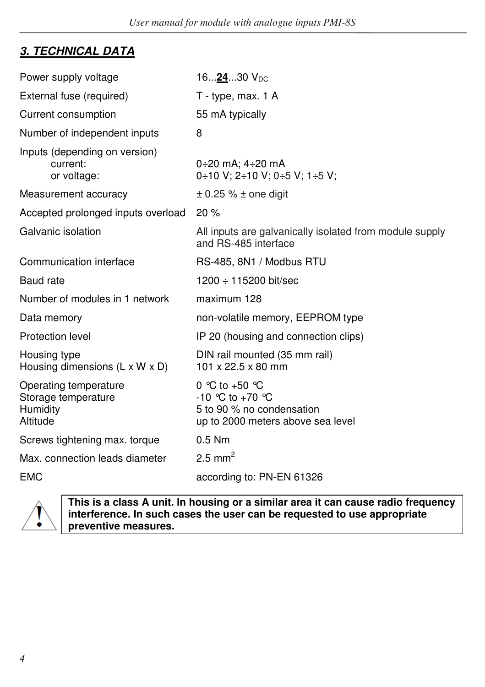# **3. TECHNICAL DATA**

| Power supply voltage                                                 | 162430 $V_{DC}$                                                                                          |
|----------------------------------------------------------------------|----------------------------------------------------------------------------------------------------------|
| External fuse (required)                                             | T - type, max. 1 A                                                                                       |
| Current consumption                                                  | 55 mA typically                                                                                          |
| Number of independent inputs                                         | 8                                                                                                        |
| Inputs (depending on version)<br>current:<br>or voltage:             | 0÷20 mA: 4÷20 mA<br>$0+10$ V; 2+10 V; 0+5 V; 1+5 V;                                                      |
| Measurement accuracy                                                 | $\pm$ 0.25 % $\pm$ one digit                                                                             |
| Accepted prolonged inputs overload                                   | 20%                                                                                                      |
| Galvanic isolation                                                   | All inputs are galvanically isolated from module supply<br>and RS-485 interface                          |
| Communication interface                                              | RS-485, 8N1 / Modbus RTU                                                                                 |
| Baud rate                                                            | $1200 \div 115200$ bit/sec                                                                               |
| Number of modules in 1 network                                       | maximum 128                                                                                              |
| Data memory                                                          | non-volatile memory, EEPROM type                                                                         |
| Protection level                                                     | IP 20 (housing and connection clips)                                                                     |
| Housing type<br>Housing dimensions (L x W x D)                       | DIN rail mounted (35 mm rail)<br>101 x 22.5 x 80 mm                                                      |
| Operating temperature<br>Storage temperature<br>Humidity<br>Altitude | 0 °C to +50 °C<br>$-10$ °C to $+70$ °C<br>5 to 90 % no condensation<br>up to 2000 meters above sea level |
| Screws tightening max. torque                                        | $0.5$ Nm                                                                                                 |
| Max. connection leads diameter                                       | 2.5 mm <sup>2</sup>                                                                                      |
| <b>EMC</b>                                                           | according to: PN-EN 61326                                                                                |



**This is a class A unit. In housing or a similar area it can cause radio frequency interference. In such cases the user can be requested to use appropriate preventive measures.**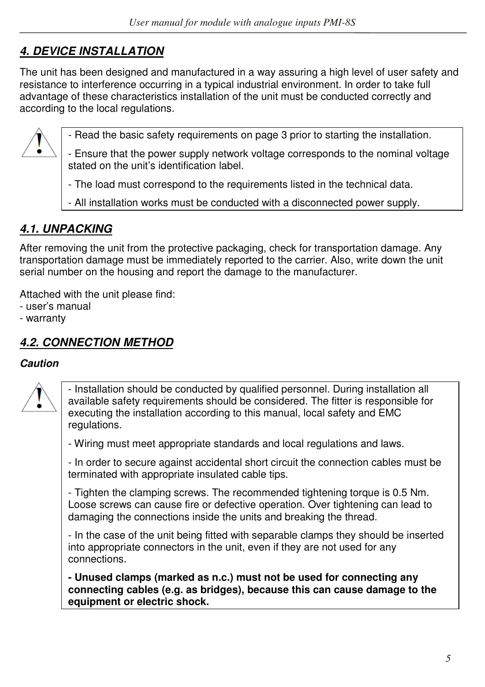# **4. DEVICE INSTALLATION**

The unit has been designed and manufactured in a way assuring a high level of user safety and resistance to interference occurring in a typical industrial environment. In order to take full advantage of these characteristics installation of the unit must be conducted correctly and according to the local regulations.



- Read the basic safety requirements on page 3 prior to starting the installation.

- Ensure that the power supply network voltage corresponds to the nominal voltage stated on the unit's identification label.

- The load must correspond to the requirements listed in the technical data.

- All installation works must be conducted with a disconnected power supply.

# **4.1. UNPACKING**

After removing the unit from the protective packaging, check for transportation damage. Any transportation damage must be immediately reported to the carrier. Also, write down the unit serial number on the housing and report the damage to the manufacturer.

Attached with the unit please find:

- user's manual

- warranty

# **4.2. CONNECTION METHOD**

#### **Caution**



- Installation should be conducted by qualified personnel. During installation all available safety requirements should be considered. The fitter is responsible for executing the installation according to this manual, local safety and EMC regulations.

- Wiring must meet appropriate standards and local regulations and laws.

- In order to secure against accidental short circuit the connection cables must be terminated with appropriate insulated cable tips.

- Tighten the clamping screws. The recommended tightening torque is 0.5 Nm. Loose screws can cause fire or defective operation. Over tightening can lead to damaging the connections inside the units and breaking the thread.

- In the case of the unit being fitted with separable clamps they should be inserted into appropriate connectors in the unit, even if they are not used for any connections.

**- Unused clamps (marked as n.c.) must not be used for connecting any connecting cables (e.g. as bridges), because this can cause damage to the equipment or electric shock.**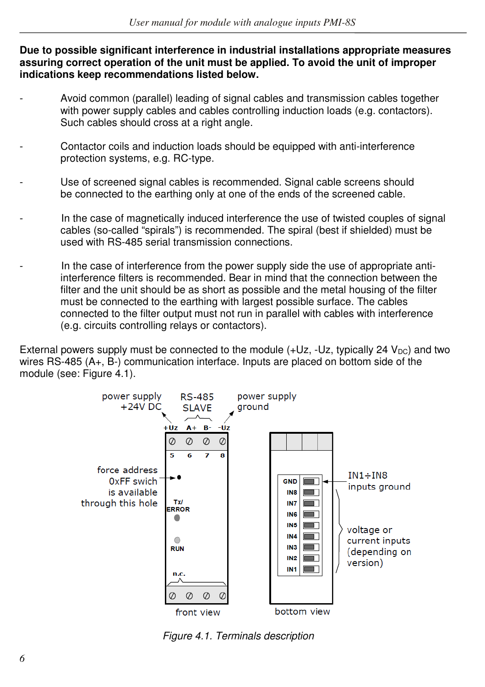**Due to possible significant interference in industrial installations appropriate measures assuring correct operation of the unit must be applied. To avoid the unit of improper indications keep recommendations listed below.** 

- Avoid common (parallel) leading of signal cables and transmission cables together with power supply cables and cables controlling induction loads (e.g. contactors). Such cables should cross at a right angle.
- Contactor coils and induction loads should be equipped with anti-interference protection systems, e.g. RC-type.
- Use of screened signal cables is recommended. Signal cable screens should be connected to the earthing only at one of the ends of the screened cable.
- In the case of magnetically induced interference the use of twisted couples of signal cables (so-called "spirals") is recommended. The spiral (best if shielded) must be used with RS-485 serial transmission connections.
- In the case of interference from the power supply side the use of appropriate antiinterference filters is recommended. Bear in mind that the connection between the filter and the unit should be as short as possible and the metal housing of the filter must be connected to the earthing with largest possible surface. The cables connected to the filter output must not run in parallel with cables with interference (e.g. circuits controlling relays or contactors).

External powers supply must be connected to the module  $(+Uz, -Uz,$  typically 24  $V_{DC}$ ) and two wires RS-485 (A+, B-) communication interface. Inputs are placed on bottom side of the module (see: Figure 4.1).



Figure 4.1. Terminals description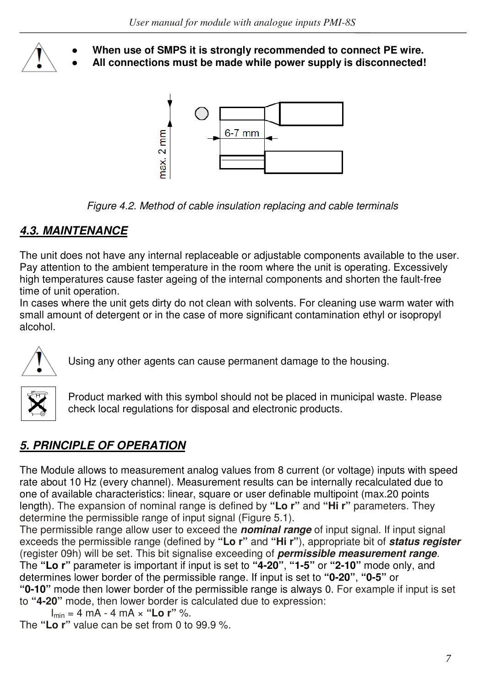

When use of SMPS it is strongly recommended to connect PE wire.

All connections must be made while power supply is disconnected!



Figure 4.2. Method of cable insulation replacing and cable terminals

# **4.3. MAINTENANCE**

The unit does not have any internal replaceable or adjustable components available to the user. Pay attention to the ambient temperature in the room where the unit is operating. Excessively high temperatures cause faster ageing of the internal components and shorten the fault-free time of unit operation.

In cases where the unit gets dirty do not clean with solvents. For cleaning use warm water with small amount of detergent or in the case of more significant contamination ethyl or isopropyl alcohol.



Using any other agents can cause permanent damage to the housing.



Product marked with this symbol should not be placed in municipal waste. Please check local regulations for disposal and electronic products.

# **5. PRINCIPLE OF OPERATION**

The Module allows to measurement analog values from 8 current (or voltage) inputs with speed rate about 10 Hz (every channel). Measurement results can be internally recalculated due to one of available characteristics: linear, square or user definable multipoint (max.20 points length). The expansion of nominal range is defined by **"Lo r"** and **"Hi r"** parameters. They determine the permissible range of input signal (Figure 5.1).

The permissible range allow user to exceed the **nominal range** of input signal. If input signal exceeds the permissible range (defined by **"Lo r"** and **"Hi r"**), appropriate bit of **status register** (register 09h) will be set. This bit signalise exceeding of **permissible measurement range**. The **"Lo r"** parameter is important if input is set to **"4-20"**, **"1-5"** or **"2-10"** mode only, and determines lower border of the permissible range. If input is set to **"0-20"**, **"0-5"** or **"0-10"** mode then lower border of the permissible range is always 0. For example if input is set to **"4-20"** mode, then lower border is calculated due to expression:

```
 Imin = 4 mA - 4 mA × "Lo r" %.
```
The **"Lo r"** value can be set from 0 to 99.9 %.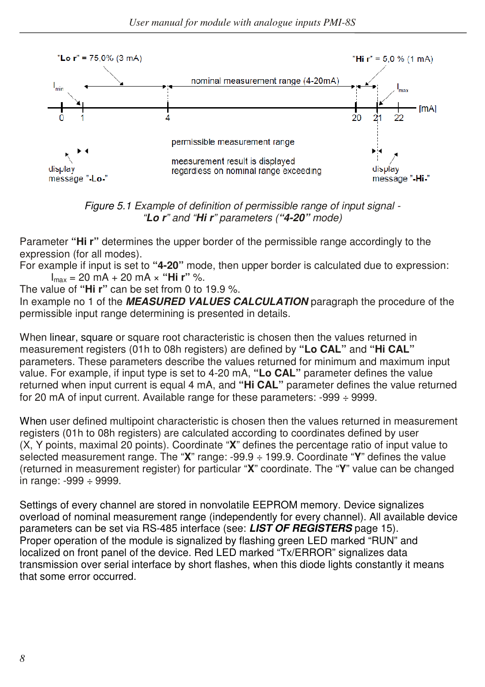



Parameter **"Hi r"** determines the upper border of the permissible range accordingly to the expression (for all modes).

For example if input is set to **"4-20"** mode, then upper border is calculated due to expression: Imax = 20 mA + 20 mA × **"Hi r"** %.

The value of **"Hi r"** can be set from 0 to 19.9 %.

In example no 1 of the **MEASURED VALUES CALCULATION** paragraph the procedure of the permissible input range determining is presented in details.

When linear, square or square root characteristic is chosen then the values returned in measurement registers (01h to 08h registers) are defined by **"Lo CAL"** and **"Hi CAL"**  parameters. These parameters describe the values returned for minimum and maximum input value. For example, if input type is set to 4-20 mA, **"Lo CAL"** parameter defines the value returned when input current is equal 4 mA, and **"Hi CAL"** parameter defines the value returned for 20 mA of input current. Available range for these parameters: -999 ÷ 9999.

When user defined multipoint characteristic is chosen then the values returned in measurement registers (01h to 08h registers) are calculated according to coordinates defined by user (X, Y points, maximal 20 points). Coordinate "**X**" defines the percentage ratio of input value to selected measurement range. The "**X**" range: -99.9 ÷ 199.9. Coordinate "**Y**" defines the value (returned in measurement register) for particular "**X**" coordinate. The "**Y**" value can be changed in range: -999 ÷ 9999.

Settings of every channel are stored in nonvolatile EEPROM memory. Device signalizes overload of nominal measurement range (independently for every channel). All available device parameters can be set via RS-485 interface (see: **LIST OF REGISTERS** page 15). Proper operation of the module is signalized by flashing green LED marked "RUN" and localized on front panel of the device. Red LED marked "Tx/ERROR" signalizes data transmission over serial interface by short flashes, when this diode lights constantly it means that some error occurred.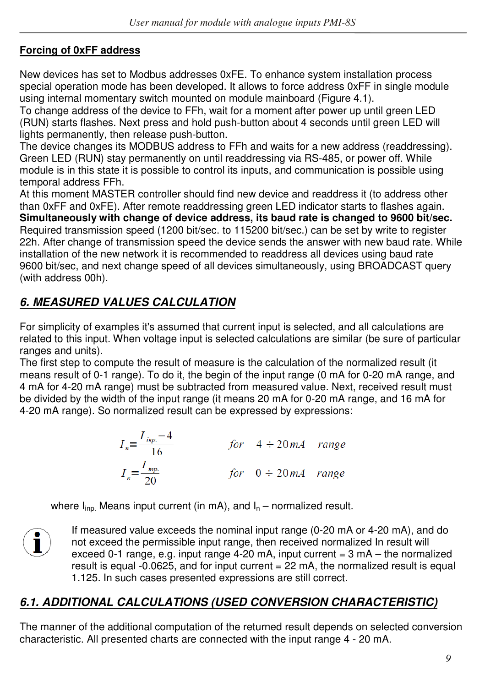# **Forcing of 0xFF address**

New devices has set to Modbus addresses 0xFE. To enhance system installation process special operation mode has been developed. It allows to force address 0xFF in single module using internal momentary switch mounted on module mainboard (Figure 4.1).

To change address of the device to FFh, wait for a moment after power up until green LED (RUN) starts flashes. Next press and hold push-button about 4 seconds until green LED will lights permanently, then release push-button.

The device changes its MODBUS address to FFh and waits for a new address (readdressing). Green LED (RUN) stay permanently on until readdressing via RS-485, or power off. While module is in this state it is possible to control its inputs, and communication is possible using temporal address FFh.

At this moment MASTER controller should find new device and readdress it (to address other than 0xFF and 0xFE). After remote readdressing green LED indicator starts to flashes again. **Simultaneously with change of device address, its baud rate is changed to 9600 bit/sec.**  Required transmission speed (1200 bit/sec. to 115200 bit/sec.) can be set by write to register 22h. After change of transmission speed the device sends the answer with new baud rate. While installation of the new network it is recommended to readdress all devices using baud rate 9600 bit/sec, and next change speed of all devices simultaneously, using BROADCAST query (with address 00h).

# **6. MEASURED VALUES CALCULATION**

For simplicity of examples it's assumed that current input is selected, and all calculations are related to this input. When voltage input is selected calculations are similar (be sure of particular ranges and units).

The first step to compute the result of measure is the calculation of the normalized result (it means result of 0-1 range). To do it, the begin of the input range (0 mA for 0-20 mA range, and 4 mA for 4-20 mA range) must be subtracted from measured value. Next, received result must be divided by the width of the input range (it means 20 mA for 0-20 mA range, and 16 mA for 4-20 mA range). So normalized result can be expressed by expressions:

$$
I_n = \frac{I_{inp.} - 4}{16}
$$
 for  $4 \div 20mA$  range  

$$
I_n = \frac{I_{inp.}}{20}
$$
 for  $0 \div 20mA$  range

where  $I_{\text{ino}}$ . Means input current (in mA), and  $I_n$  – normalized result.



If measured value exceeds the nominal input range (0-20 mA or 4-20 mA), and do not exceed the permissible input range, then received normalized In result will exceed 0-1 range, e.g. input range 4-20 mA, input current  $= 3$  mA – the normalized result is equal  $-0.0625$ , and for input current  $= 22$  mA, the normalized result is equal 1.125. In such cases presented expressions are still correct.

# **6.1. ADDITIONAL CALCULATIONS (USED CONVERSION CHARACTERISTIC)**

The manner of the additional computation of the returned result depends on selected conversion characteristic. All presented charts are connected with the input range 4 - 20 mA.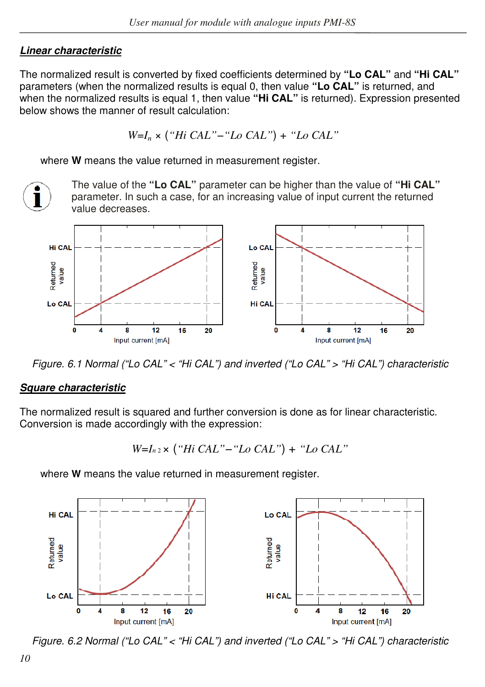### **Linear characteristic**

The normalized result is converted by fixed coefficients determined by **"Lo CAL"** and **"Hi CAL"**  parameters (when the normalized results is equal 0, then value **"Lo CAL"** is returned, and when the normalized results is equal 1, then value **"Hi CAL"** is returned). Expression presented below shows the manner of result calculation:

$$
W=I_n \times
$$
 ("Hi CAL"— "Lo CAL") + "Lo CAL"

where **W** means the value returned in measurement register.

The value of the **"Lo CAL"** parameter can be higher than the value of **"Hi CAL"**  parameter. In such a case, for an increasing value of input current the returned value decreases.



Figure. 6.1 Normal ("Lo CAL" < "Hi CAL") and inverted ("Lo CAL" > "Hi CAL") characteristic

#### **Square characteristic**

The normalized result is squared and further conversion is done as for linear characteristic. Conversion is made accordingly with the expression:

$$
W=I_{n2} \times
$$
 ("Hi CAL"— "Lo CAL") + "Lo CAL"

where **W** means the value returned in measurement register.



Figure. 6.2 Normal ("Lo CAL" < "Hi CAL") and inverted ("Lo CAL" > "Hi CAL") characteristic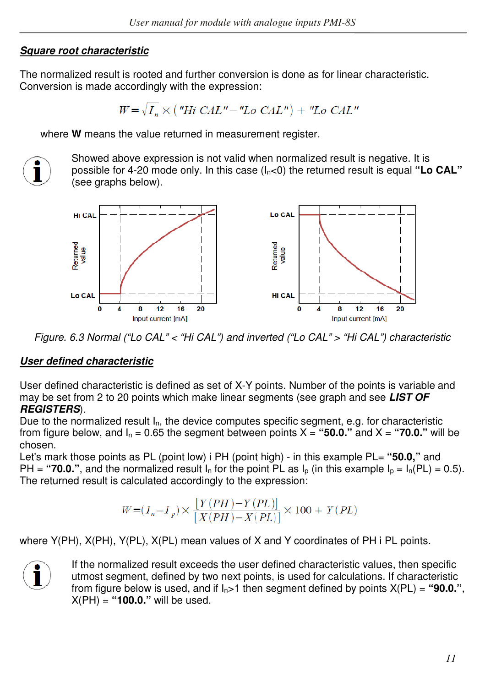#### **Square root characteristic**

The normalized result is rooted and further conversion is done as for linear characteristic. Conversion is made accordingly with the expression:

$$
W = \sqrt{I_n} \times
$$
 ("Hi CAL" - "Lo CAL") + "Lo CAL"

where **W** means the value returned in measurement register.



Showed above expression is not valid when normalized result is negative. It is possible for 4-20 mode only. In this case  $(I_n < 0)$  the returned result is equal "Lo CAL" (see graphs below).



Figure. 6.3 Normal ("Lo CAL" < "Hi CAL") and inverted ("Lo CAL" > "Hi CAL") characteristic

#### **User defined characteristic**

User defined characteristic is defined as set of X-Y points. Number of the points is variable and may be set from 2 to 20 points which make linear segments (see graph and see **LIST OF REGISTERS**).

Due to the normalized result  $I_n$ , the device computes specific segment, e.g. for characteristic from figure below, and  $I_n = 0.65$  the segment between points  $X =$  "50.0." and  $X =$  "70.0." will be chosen.

Let's mark those points as PL (point low) i PH (point high) - in this example PL= **"50.0,"** and PH = "**70.0."**, and the normalized result  $I_n$  for the point PL as  $I_n$  (in this example  $I_n = I_n(PL) = 0.5$ ). The returned result is calculated accordingly to the expression:

$$
W = (I_n - I_p) \times \frac{\left[Y(PH) - Y(PL)\right]}{\left[X(PH) - X(PL)\right]} \times 100 + Y(PL)
$$

where Y(PH), X(PH), Y(PL), X(PL) mean values of X and Y coordinates of PH i PL points.



If the normalized result exceeds the user defined characteristic values, then specific utmost segment, defined by two next points, is used for calculations. If characteristic from figure below is used, and if  $I_n > 1$  then segment defined by points  $X(PL) =$  "90.0.", X(PH) = **"100.0."** will be used.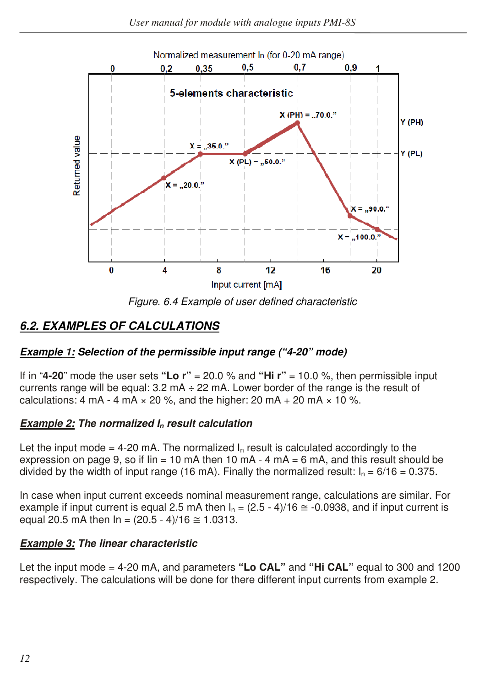

Figure. 6.4 Example of user defined characteristic

# **6.2. EXAMPLES OF CALCULATIONS**

# **Example 1: Selection of the permissible input range ("4-20" mode)**

If in "**4-20**" mode the user sets **"Lo r"** = 20.0 % and **"Hi r"** = 10.0 %, then permissible input currents range will be equal:  $3.2 \text{ mA} \div 22 \text{ mA}$ . Lower border of the range is the result of calculations: 4 mA - 4 mA  $\times$  20 %, and the higher: 20 mA + 20 mA  $\times$  10 %.

#### **Example 2: The normalized In result calculation**

Let the input mode = 4-20 mA. The normalized  $I_n$  result is calculated accordinaly to the expression on page 9, so if  $\sin = 10$  mA then 10 mA - 4 mA = 6 mA, and this result should be divided by the width of input range (16 mA). Finally the normalized result:  $I_n = 6/16 = 0.375$ .

In case when input current exceeds nominal measurement range, calculations are similar. For example if input current is equal 2.5 mA then  $I_n = (2.5 - 4)/16 \approx -0.0938$ , and if input current is equal 20.5 mA then  $\ln = (20.5 - 4)/16 \approx 1.0313$ .

#### **Example 3: The linear characteristic**

Let the input mode = 4-20 mA, and parameters **"Lo CAL"** and **"Hi CAL"** equal to 300 and 1200 respectively. The calculations will be done for there different input currents from example 2.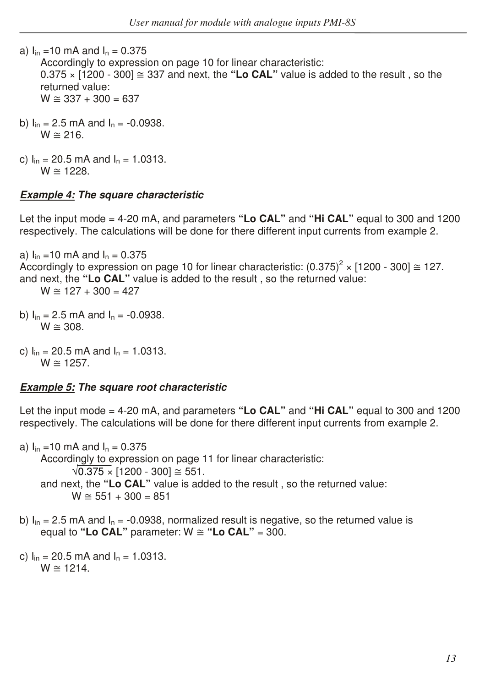a)  $I_{in}$  =10 mA and  $I_{n}$  = 0.375

 Accordingly to expression on page 10 for linear characteristic:  $0.375 \times 1200 - 300$   $\approx 337$  and next, the "Lo CAL" value is added to the result, so the returned value:  $W \approx 337 + 300 = 637$ 

- b)  $I_{in} = 2.5$  mA and  $I_{n} = -0.0938$ .  $W \cong 216$ .
- c)  $I_{in}$  = 20.5 mA and  $I_{n}$  = 1.0313.  $W \approx 1228$ .

#### **Example 4: The square characteristic**

Let the input mode = 4-20 mA, and parameters **"Lo CAL"** and **"Hi CAL"** equal to 300 and 1200 respectively. The calculations will be done for there different input currents from example 2.

a)  $I_{in} = 10$  mA and  $I_{n} = 0.375$ Accordingly to expression on page 10 for linear characteristic:  $(0.375)^2 \times [1200 - 300] \approx 127$ . and next, the **"Lo CAL"** value is added to the result , so the returned value:  $W \cong 127 + 300 = 427$ 

- b)  $I_{in} = 2.5$  mA and  $I_{n} = -0.0938$ .  $W \cong 308$ .
- c)  $I_{in}$  = 20.5 mA and  $I_{n}$  = 1.0313.  $W \cong 1257$ .

#### **Example 5: The square root characteristic**

Let the input mode = 4-20 mA, and parameters **"Lo CAL"** and **"Hi CAL"** equal to 300 and 1200 respectively. The calculations will be done for there different input currents from example 2.

a)  $I_{in}$  =10 mA and  $I_{n}$  = 0.375 Accordingly to expression on page 11 for linear characteristic:  $\sqrt{0.375 \times}$  [1200 - 300] ≅ 551. and next, the **"Lo CAL"** value is added to the result , so the returned value:  $W \cong 551 + 300 = 851$ 

b)  $I_{in}$  = 2.5 mA and  $I_{n}$  = -0.0938, normalized result is negative, so the returned value is equal to "Lo CAL" parameter:  $W \cong$  "Lo CAL" = 300.

c)  $I_{in}$  = 20.5 mA and  $I_{n}$  = 1.0313.  $W \approx 1214$ .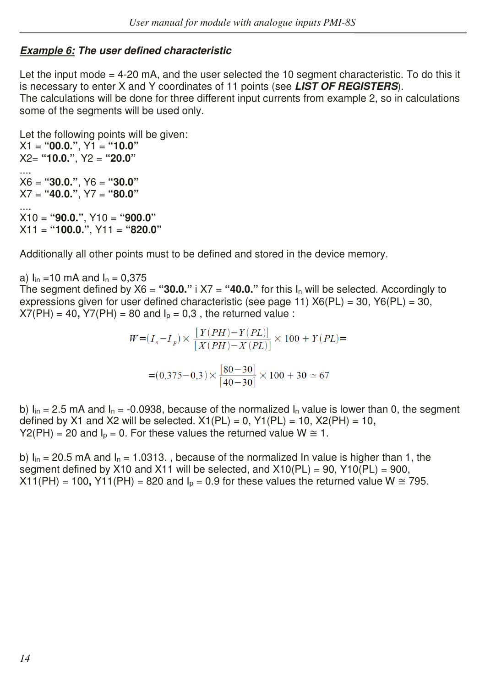# **Example 6: The user defined characteristic**

Let the input mode = 4-20 mA, and the user selected the 10 segment characteristic. To do this it is necessary to enter X and Y coordinates of 11 points (see **LIST OF REGISTERS**). The calculations will be done for three different input currents from example 2, so in calculations some of the segments will be used only.

Let the following points will be given:  $X1 = "00.0."$ ,  $Y1 = "10.0"$ X2= **"10.0."**, Y2 = **"20.0"** .... X6 = **"30.0."**, Y6 = **"30.0"**  X7 = **"40.0."**, Y7 = **"80.0"** .... X10 = **"90.0."**, Y10 = **"900.0"**  X11 = **"100.0."**, Y11 = **"820.0"**

Additionally all other points must to be defined and stored in the device memory.

a)  $I_{in} = 10$  mA and  $I_{n} = 0.375$ The segment defined by  $X6 =$  "30.0." i  $X7 =$  "40.0." for this  $I_n$  will be selected. Accordingly to expressions given for user defined characteristic (see page 11)  $X6(PL) = 30$ ,  $Y6(PL) = 30$ ,  $X7(PH) = 40$ ,  $Y7(PH) = 80$  and  $I<sub>p</sub> = 0.3$ , the returned value :

$$
W = (I_n - I_p) \times \frac{[Y(PH) - Y(PL)]}{[X(PH) - X(PL)]} \times 100 + Y(PL) =
$$
  
= (0,375 - 0,3) \times \frac{[80 - 30]}{[40 - 30]} \times 100 + 30 \approx 67

b)  $I_{in}$  = 2.5 mA and  $I_{n}$  = -0.0938, because of the normalized  $I_{n}$  value is lower than 0, the segment defined by X1 and X2 will be selected.  $X1(PL) = 0$ ,  $Y1(PL) = 10$ ,  $X2(PH) = 10$ , Y2(PH) = 20 and  $I_0 = 0$ . For these values the returned value  $W \cong 1$ .

b)  $I_{in}$  = 20.5 mA and  $I_{n}$  = 1.0313., because of the normalized In value is higher than 1, the segment defined by X10 and X11 will be selected, and  $X10(PL) = 90$ ,  $Y10(PL) = 900$ ,  $X11(PH) = 100$ ,  $Y11(PH) = 820$  and  $I_p = 0.9$  for these values the returned value W  $\approx$  795.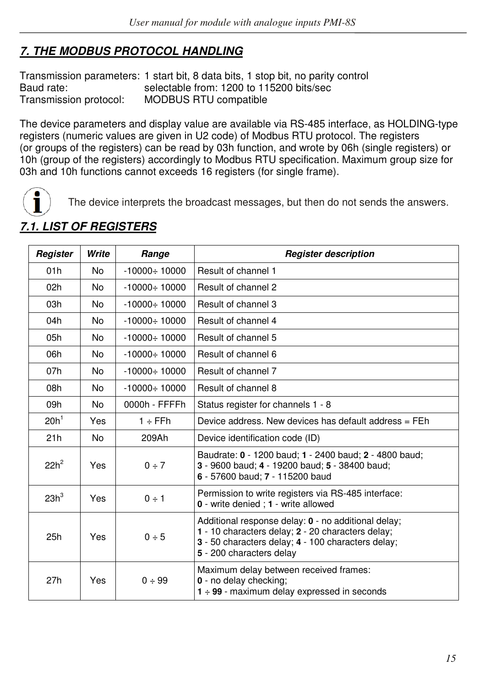# **7. THE MODBUS PROTOCOL HANDLING**

Transmission parameters: 1 start bit, 8 data bits, 1 stop bit, no parity control Baud rate: selectable from: 1200 to 115200 bits/sec Transmission protocol: MODBUS RTU compatible

The device parameters and display value are available via RS-485 interface, as HOLDING-type registers (numeric values are given in U2 code) of Modbus RTU protocol. The registers (or groups of the registers) can be read by 03h function, and wrote by 06h (single registers) or 10h (group of the registers) accordingly to Modbus RTU specification. Maximum group size for 03h and 10h functions cannot exceeds 16 registers (for single frame).



The device interprets the broadcast messages, but then do not sends the answers.

| Register         | Write | Range               | <b>Register description</b>                                                                                                                                                                |
|------------------|-------|---------------------|--------------------------------------------------------------------------------------------------------------------------------------------------------------------------------------------|
| 01h              | No.   | $-10000 \div 10000$ | Result of channel 1                                                                                                                                                                        |
| 02h              | No.   | $-10000 \div 10000$ | Result of channel 2                                                                                                                                                                        |
| 03h              | No.   | $-10000 \div 10000$ | Result of channel 3                                                                                                                                                                        |
| 04h              | No.   | $-10000 \div 10000$ | Result of channel 4                                                                                                                                                                        |
| 05h              | No    | $-10000 \div 10000$ | Result of channel 5                                                                                                                                                                        |
| 06h              | No.   | $-10000 \div 10000$ | Result of channel 6                                                                                                                                                                        |
| 07h              | No.   | $-10000 \div 10000$ | Result of channel 7                                                                                                                                                                        |
| 08h              | No.   | $-10000 \div 10000$ | Result of channel 8                                                                                                                                                                        |
| 09h              | No.   | 0000h - FFFFh       | Status register for channels 1 - 8                                                                                                                                                         |
| 20h <sup>1</sup> | Yes   | $1 ÷$ FFh           | Device address. New devices has default address = FEh                                                                                                                                      |
| 21h              | No.   | 209Ah               | Device identification code (ID)                                                                                                                                                            |
| $22h^2$          | Yes   | $0 \div 7$          | Baudrate: 0 - 1200 baud: 1 - 2400 baud: 2 - 4800 baud:<br>3 - 9600 baud; 4 - 19200 baud; 5 - 38400 baud;<br>6 - 57600 baud; 7 - 115200 baud                                                |
| 23h <sup>3</sup> | Yes   | $0 \div 1$          | Permission to write registers via RS-485 interface:<br>0 - write denied : 1 - write allowed                                                                                                |
| 25h              | Yes   | 0 ÷ 5               | Additional response delay: 0 - no additional delay;<br>1 - 10 characters delay; 2 - 20 characters delay;<br>3 - 50 characters delay; 4 - 100 characters delay;<br>5 - 200 characters delay |
| 27h              | Yes   | 0 ÷ 99              | Maximum delay between received frames:<br>0 - no delay checking;<br>$1 \div 99$ - maximum delay expressed in seconds                                                                       |

# **7.1. LIST OF REGISTERS**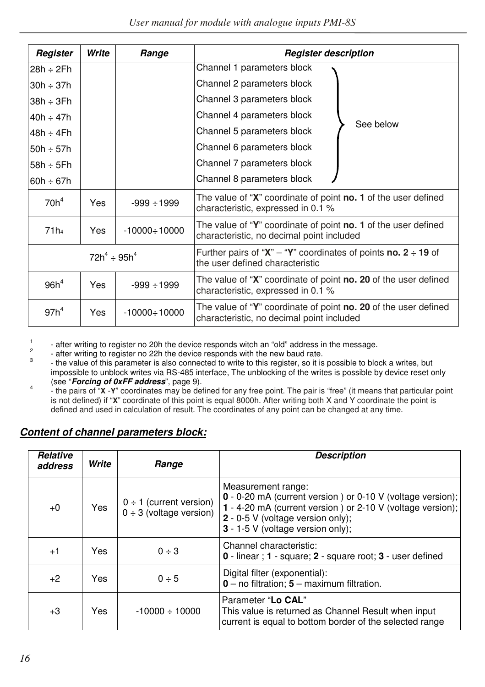| Register         | Write              | Range               | <b>Register description</b>                                                                                       |  |  |  |  |  |  |
|------------------|--------------------|---------------------|-------------------------------------------------------------------------------------------------------------------|--|--|--|--|--|--|
| $28h \div 2Fh$   |                    |                     | Channel 1 parameters block                                                                                        |  |  |  |  |  |  |
| $30h \div 37h$   |                    |                     | Channel 2 parameters block                                                                                        |  |  |  |  |  |  |
| $38h \div 3Fh$   |                    |                     | Channel 3 parameters block                                                                                        |  |  |  |  |  |  |
| $40h \div 47h$   |                    |                     | Channel 4 parameters block<br>See below                                                                           |  |  |  |  |  |  |
| 48h ÷ 4Fh        |                    |                     | Channel 5 parameters block                                                                                        |  |  |  |  |  |  |
| $50h \div 57h$   |                    |                     | Channel 6 parameters block                                                                                        |  |  |  |  |  |  |
| $58h \div 5Fh$   |                    |                     | Channel 7 parameters block                                                                                        |  |  |  |  |  |  |
| $60h \div 67h$   |                    |                     | Channel 8 parameters block                                                                                        |  |  |  |  |  |  |
| 70h <sup>4</sup> | Yes                | $-999 \div 1999$    | The value of "X" coordinate of point no. 1 of the user defined<br>characteristic, expressed in 0.1 %              |  |  |  |  |  |  |
| 71 <sub>h4</sub> | <b>Yes</b>         | $-10000 \div 10000$ | The value of "Y" coordinate of point no. 1 of the user defined<br>characteristic, no decimal point included       |  |  |  |  |  |  |
|                  | $72h^4 \div 95h^4$ |                     | Further pairs of " $X$ " – "Y" coordinates of points <b>no.</b> 2 $\div$ 19 of<br>the user defined characteristic |  |  |  |  |  |  |
| 96h <sup>4</sup> | Yes                | $-999 \div 1999$    | The value of "X" coordinate of point no. 20 of the user defined<br>characteristic, expressed in 0.1 %             |  |  |  |  |  |  |
| 97h <sup>4</sup> | Yes                | $-10000 \div 10000$ | The value of "Y" coordinate of point no. 20 of the user defined<br>characteristic, no decimal point included      |  |  |  |  |  |  |

1 - after writing to register no 20h the device responds witch an "old" address in the message. 2

- after writing to register no 22h the device responds with the new baud rate.

- 3 - the value of this parameter is also connected to write to this register, so it is possible to block a writes, but impossible to unblock writes via RS-485 interface, The unblocking of the writes is possible by device reset only (see "**Forcing of 0xFF address**", page 9). 4
- the pairs of "**X** -**Y**" coordinates may be defined for any free point. The pair is "free" (it means that particular point is not defined) if "**X**" coordinate of this point is equal 8000h. After writing both X and Y coordinate the point is defined and used in calculation of result. The coordinates of any point can be changed at any time.

# **Content of channel parameters block:**

| Relative<br>address | Write      | <b>Description</b><br>Range                                  |                                                                                                                                                                                                                          |  |  |  |  |  |
|---------------------|------------|--------------------------------------------------------------|--------------------------------------------------------------------------------------------------------------------------------------------------------------------------------------------------------------------------|--|--|--|--|--|
| $+0$                | <b>Yes</b> | $0 \div 1$ (current version)<br>$0 \div 3$ (voltage version) | Measurement range:<br>0 - 0-20 mA (current version) or 0-10 V (voltage version);<br>1 - 4-20 mA (current version) or 2-10 V (voltage version);<br>2 - 0-5 V (voltage version only);<br>3 - 1-5 V (voltage version only); |  |  |  |  |  |
| $+1$                | Yes.       | $0 \div 3$                                                   | Channel characteristic:<br>0 - linear : 1 - square: 2 - square root: 3 - user defined                                                                                                                                    |  |  |  |  |  |
| $+2$                | Yes        | 0 ÷ 5                                                        | Digital filter (exponential):<br>$0 -$ no filtration; $5 -$ maximum filtration.                                                                                                                                          |  |  |  |  |  |
| $+3$                | Yes        | $-10000 \div 10000$                                          | Parameter "Lo CAL"<br>This value is returned as Channel Result when input<br>current is equal to bottom border of the selected range                                                                                     |  |  |  |  |  |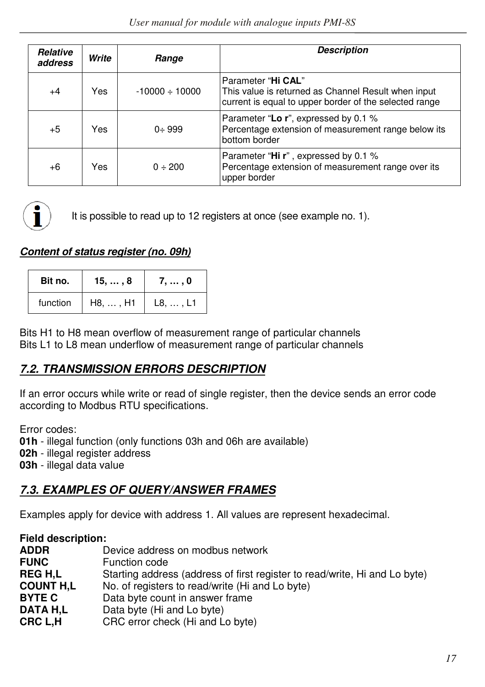| Relative<br>address | Write | <b>Description</b><br>Range |                                                                                                                                     |  |  |  |  |  |  |
|---------------------|-------|-----------------------------|-------------------------------------------------------------------------------------------------------------------------------------|--|--|--|--|--|--|
| $+4$                | Yes   | $-10000 \div 10000$         | Parameter "Hi CAL"<br>This value is returned as Channel Result when input<br>current is equal to upper border of the selected range |  |  |  |  |  |  |
| $+5$                | Yes   | $0 \div 999$                | Parameter "Lo r", expressed by 0.1 %<br>Percentage extension of measurement range below its<br>bottom border                        |  |  |  |  |  |  |
| $+6$                | Yes   | $0 \div 200$                | Parameter "Hi r", expressed by 0.1 %<br>Percentage extension of measurement range over its<br>upper border                          |  |  |  |  |  |  |



It is possible to read up to 12 registers at once (see example no. 1).

# **Content of status register (no. 09h)**

| Bit no.  | 15, , 8          | 7, , 0           |
|----------|------------------|------------------|
| function | $H8, \ldots, H1$ | $L8, \ldots, L1$ |

Bits H1 to H8 mean overflow of measurement range of particular channels Bits L1 to L8 mean underflow of measurement range of particular channels

# **7.2. TRANSMISSION ERRORS DESCRIPTION**

If an error occurs while write or read of single register, then the device sends an error code according to Modbus RTU specifications.

Error codes:

**01h** - illegal function (only functions 03h and 06h are available)

**02h** - illegal register address

**03h** - illegal data value

# **7.3. EXAMPLES OF QUERY/ANSWER FRAMES**

Examples apply for device with address 1. All values are represent hexadecimal.

| <b>Field description:</b> |                                                                            |
|---------------------------|----------------------------------------------------------------------------|
| <b>ADDR</b>               | Device address on modbus network                                           |
| <b>FUNC</b>               | Function code                                                              |
| <b>REGH.L</b>             | Starting address (address of first register to read/write, Hi and Lo byte) |
| <b>COUNT H.L</b>          | No. of registers to read/write (Hi and Lo byte)                            |
| <b>BYTE C</b>             | Data byte count in answer frame                                            |
| DATA H.L                  | Data byte (Hi and Lo byte)                                                 |
| CRC L.H                   | CRC error check (Hi and Lo byte)                                           |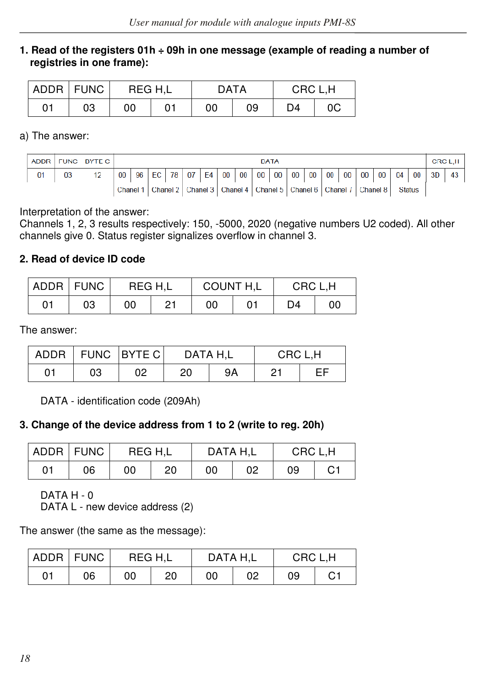#### **1. Read of the registers 01h ÷ 09h in one message (example of reading a number of registries in one frame):**

| ADDR   FUNC |    | REG H.L |  | <b>DATA</b> |    | CRC L.H |    |  |  |
|-------------|----|---------|--|-------------|----|---------|----|--|--|
| 01          | 03 | 00      |  | 00          | 09 | D4      | 0C |  |  |

a) The answer:

|                |    | ADDR FUNC BYTE C |    | <b>DATA</b>                                                                  |    |    |    |    |    |    |        |        |        |        |    | CRC L.H |          |        |               |    |    |              |
|----------------|----|------------------|----|------------------------------------------------------------------------------|----|----|----|----|----|----|--------|--------|--------|--------|----|---------|----------|--------|---------------|----|----|--------------|
| 0 <sup>1</sup> | 03 | 12               | 00 | 96                                                                           | FC | 78 | 07 | F4 | 00 | 00 | $00\,$ | $00\,$ | $00\,$ | $00\,$ | 00 | 00      | $00\,$   | $00\,$ | 04            | 00 | 3D | $43^{\circ}$ |
|                |    |                  |    | Chanel 3   Chanel 4   Chanel 5   Chanel 6   Chanel 1<br>Chanel 2<br>Chanel 1 |    |    |    |    |    |    |        |        |        |        |    |         | Chanel 8 |        | <b>Status</b> |    |    |              |

Interpretation of the answer:

Channels 1, 2, 3 results respectively: 150, -5000, 2020 (negative numbers U2 coded). All other channels give 0. Status register signalizes overflow in channel 3.

#### **2. Read of device ID code**

| ADDR FUNC |    |    | COUNT H,L<br>CRC L.H<br>REG H.L |    |  |    |    |
|-----------|----|----|---------------------------------|----|--|----|----|
| 01        | 03 | 00 | - 0.1                           | 00 |  | D4 | 0C |

The answer:

| ADDR |    | FUNC   BYTE C |    | DATA H.L | CRC L.H |  |
|------|----|---------------|----|----------|---------|--|
| 01   | 03 | 02            | 20 | 9Α       | 21      |  |

DATA - identification code (209Ah)

#### **3. Change of the device address from 1 to 2 (write to reg. 20h)**

|    | ADDR FUNC | REG H.L |    | DATA H.L |    | CRC L.H |    |
|----|-----------|---------|----|----------|----|---------|----|
| 01 | 06        | 00      | 20 | 00       | 02 | 09      | C1 |

DATA H - 0

DATA L - new device address (2)

The answer (the same as the message):

| ADDR FUNC |    | REG H.L |    | DATA H.L |    | CRC L.H |    |
|-----------|----|---------|----|----------|----|---------|----|
| 01        | 06 | 00      | 20 | 00       | 02 | 09      | С1 |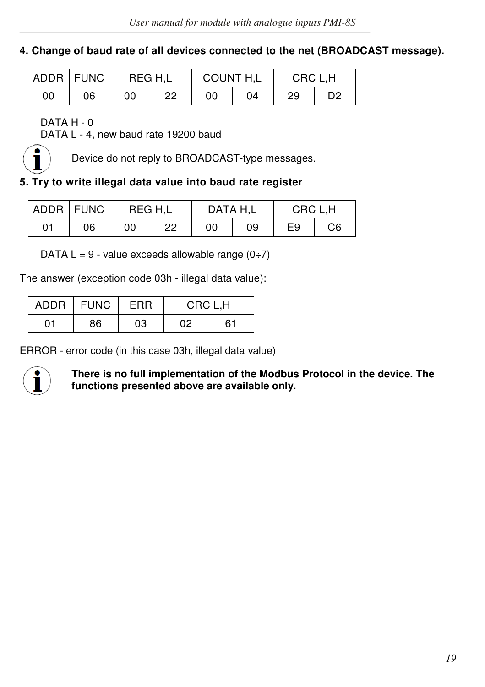#### **4. Change of baud rate of all devices connected to the net (BROADCAST message).**

|    | ADDR FUNC | REG H.L |    | COUNT H,L |    | CRC L.H |    |
|----|-----------|---------|----|-----------|----|---------|----|
| 00 | 06        | 00      | 22 | 00        | 04 | 29      | D2 |

DATA H - 0

DATA L - 4, new baud rate 19200 baud



Device do not reply to BROADCAST-type messages.

#### **5. Try to write illegal data value into baud rate register**

|    | ADDR FUNC | REG H.L |    | DATA H.L |    | CRC L.H |    |
|----|-----------|---------|----|----------|----|---------|----|
| 01 | 06        | 00      | 22 | 00       | 09 | E9      | C6 |

DATA  $L = 9$  - value exceeds allowable range  $(0\div 7)$ 

The answer (exception code 03h - illegal data value):

| ADDR | <b>FUNC</b><br>FRR |    | CRC L.H |    |  |
|------|--------------------|----|---------|----|--|
| 01   | 86                 | 03 | 02      | 61 |  |

ERROR - error code (in this case 03h, illegal data value)



**There is no full implementation of the Modbus Protocol in the device. The functions presented above are available only.**